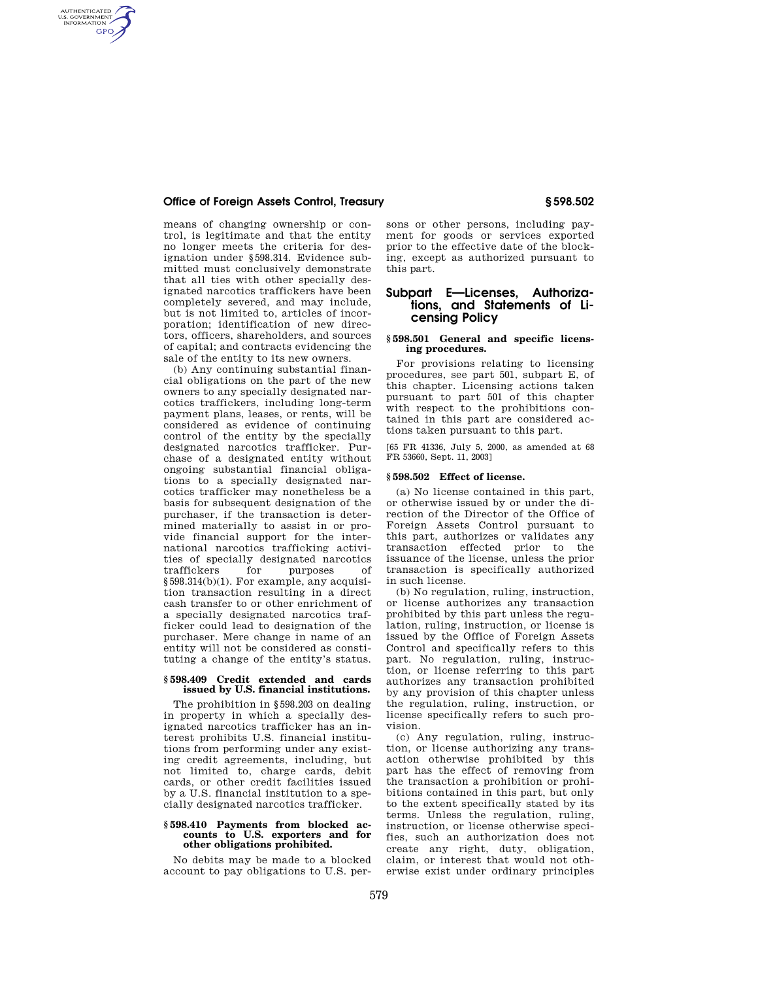## **Office of Foreign Assets Control, Treasury § 598.502**

AUTHENTICATED<br>U.S. GOVERNMENT<br>INFORMATION **GPO** 

> means of changing ownership or control, is legitimate and that the entity no longer meets the criteria for designation under §598.314. Evidence submitted must conclusively demonstrate that all ties with other specially designated narcotics traffickers have been completely severed, and may include, but is not limited to, articles of incorporation; identification of new directors, officers, shareholders, and sources of capital; and contracts evidencing the sale of the entity to its new owners.

> (b) Any continuing substantial financial obligations on the part of the new owners to any specially designated narcotics traffickers, including long-term payment plans, leases, or rents, will be considered as evidence of continuing control of the entity by the specially designated narcotics trafficker. Purchase of a designated entity without ongoing substantial financial obligations to a specially designated narcotics trafficker may nonetheless be a basis for subsequent designation of the purchaser, if the transaction is determined materially to assist in or provide financial support for the international narcotics trafficking activities of specially designated narcotics traffickers for purposes of §598.314(b)(1). For example, any acquisition transaction resulting in a direct cash transfer to or other enrichment of a specially designated narcotics trafficker could lead to designation of the purchaser. Mere change in name of an entity will not be considered as constituting a change of the entity's status.

## **§ 598.409 Credit extended and cards issued by U.S. financial institutions.**

The prohibition in §598.203 on dealing in property in which a specially designated narcotics trafficker has an interest prohibits U.S. financial institutions from performing under any existing credit agreements, including, but not limited to, charge cards, debit cards, or other credit facilities issued by a U.S. financial institution to a specially designated narcotics trafficker.

### **§ 598.410 Payments from blocked accounts to U.S. exporters and for other obligations prohibited.**

No debits may be made to a blocked account to pay obligations to U.S. persons or other persons, including payment for goods or services exported prior to the effective date of the blocking, except as authorized pursuant to this part.

# **Subpart E—Licenses, Authorizations, and Statements of Licensing Policy**

### **§ 598.501 General and specific licensing procedures.**

For provisions relating to licensing procedures, see part 501, subpart E, of this chapter. Licensing actions taken pursuant to part 501 of this chapter with respect to the prohibitions contained in this part are considered actions taken pursuant to this part.

[65 FR 41336, July 5, 2000, as amended at 68 FR 53660, Sept. 11, 2003]

### **§ 598.502 Effect of license.**

(a) No license contained in this part, or otherwise issued by or under the direction of the Director of the Office of Foreign Assets Control pursuant to this part, authorizes or validates any transaction effected prior to the issuance of the license, unless the prior transaction is specifically authorized in such license.

(b) No regulation, ruling, instruction, or license authorizes any transaction prohibited by this part unless the regulation, ruling, instruction, or license is issued by the Office of Foreign Assets Control and specifically refers to this part. No regulation, ruling, instruction, or license referring to this part authorizes any transaction prohibited by any provision of this chapter unless the regulation, ruling, instruction, or license specifically refers to such provision.

(c) Any regulation, ruling, instruction, or license authorizing any transaction otherwise prohibited by this part has the effect of removing from the transaction a prohibition or prohibitions contained in this part, but only to the extent specifically stated by its terms. Unless the regulation, ruling, instruction, or license otherwise specifies, such an authorization does not create any right, duty, obligation, claim, or interest that would not otherwise exist under ordinary principles